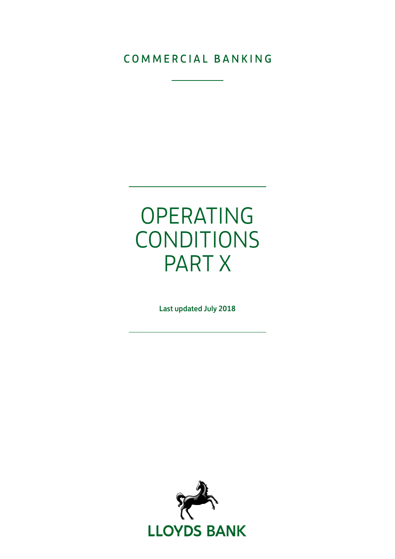# COMMERCIAL BANKING

# OPERATING CONDITIONS PART X

Last updated July 2018

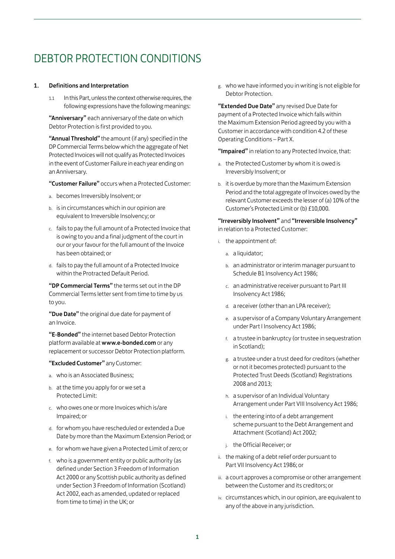# DEBTOR PROTECTION CONDITIONS

## 1. Definitions and Interpretation

1.1 In this Part, unless the context otherwise requires, the following expressions have the following meanings:

"Anniversary" each anniversary of the date on which Debtor Protection is first provided to you.

"Annual Threshold" the amount (if any) specified in the DP Commercial Terms below which the aggregate of Net Protected Invoices will not qualify as Protected Invoices in the event of Customer Failure in each year ending on an Anniversary.

"Customer Failure" occurs when a Protected Customer:

- a. becomes Irreversibly Insolvent; or
- b. is in circumstances which in our opinion are equivalent to Irreversible Insolvency; or
- c. fails to pay the full amount of a Protected Invoice that is owing to you and a final judgment of the court in our or your favour for the full amount of the Invoice has been obtained; or
- d. fails to pay the full amount of a Protected Invoice within the Protracted Default Period.

"DP Commercial Terms" the terms set out in the DP Commercial Terms letter sent from time to time by us to you.

"Due Date" the original due date for payment of an Invoice.

"E-Bonded" the internet based Debtor Protection platform available at www.e-bonded.com or any replacement or successor Debtor Protection platform.

"Excluded Customer" any Customer:

- a. who is an Associated Business;
- b. at the time you apply for or we set a Protected Limit:
- c. who owes one or more Invoices which is/are Impaired; or
- d. for whom you have rescheduled or extended a Due Date by more than the Maximum Extension Period; or
- e. for whom we have given a Protected Limit of zero; or
- f. who is a government entity or public authority (as defined under Section 3 Freedom of Information Act 2000 or any Scottish public authority as defined under Section 3 Freedom of Information (Scotland) Act 2002, each as amended, updated or replaced from time to time) in the UK; or

g. who we have informed you in writing is not eligible for Debtor Protection.

"Extended Due Date" any revised Due Date for payment of a Protected Invoice which falls within the Maximum Extension Period agreed by you with a Customer in accordance with condition 4.2 of these Operating Conditions – Part X.

"Impaired" in relation to any Protected Invoice, that:

- a. the Protected Customer by whom it is owed is Irreversibly Insolvent; or
- b. it is overdue by more than the Maximum Extension Period and the total aggregate of Invoices owed by the relevant Customer exceeds the lesser of (a) 10% of the Customer's Protected Limit or (b) £10,000.

"Irreversibly Insolvent" and "Irreversible Insolvency" in relation to a Protected Customer:

- i. the appointment of:
	- a. a liquidator;
	- b. an administrator or interim manager pursuant to Schedule B1 Insolvency Act 1986;
	- c. an administrative receiver pursuant to Part III Insolvency Act 1986;
	- d. a receiver (other than an LPA receiver);
	- e. a supervisor of a Company Voluntary Arrangement under Part I Insolvency Act 1986;
	- f. a trustee in bankruptcy (or trustee in sequestration in Scotland);
	- g. a trustee under a trust deed for creditors (whether or not it becomes protected) pursuant to the Protected Trust Deeds (Scotland) Registrations 2008 and 2013;
	- h. a supervisor of an Individual Voluntary Arrangement under Part VIII Insolvency Act 1986;
	- i. the entering into of a debt arrangement scheme pursuant to the Debt Arrangement and Attachment (Scotland) Act 2002;
	- j. the Official Receiver; or
- ii. the making of a debt relief order pursuant to Part VII Insolvency Act 1986; or
- iii. a court approves a compromise or other arrangement between the Customer and its creditors; or
- iv. circumstances which, in our opinion, are equivalent to any of the above in any jurisdiction.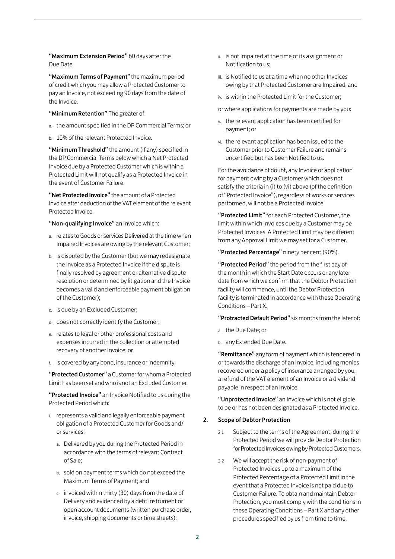"Maximum Extension Period" 60 days after the Due Date.

"Maximum Terms of Payment" the maximum period of credit which you may allow a Protected Customer to pay an Invoice, not exceeding 90 days from the date of the Invoice.

"Minimum Retention" The greater of:

- a. the amount specified in the DP Commercial Terms; or
- b. 10% of the relevant Protected Invoice.

"Minimum Threshold" the amount (if any) specified in the DP Commercial Terms below which a Net Protected Invoice due by a Protected Customer which is within a Protected Limit will not qualify as a Protected Invoice in the event of Customer Failure.

"Net Protected Invoice" the amount of a Protected Invoice after deduction of the VAT element of the relevant Protected Invoice.

"Non-qualifying Invoice" an Invoice which:

- a. relates to Goods or services Delivered at the time when Impaired Invoices are owing by the relevant Customer;
- b. is disputed by the Customer (but we may redesignate the Invoice as a Protected Invoice if the dispute is finally resolved by agreement or alternative dispute resolution or determined by litigation and the Invoice becomes a valid and enforceable payment obligation of the Customer);
- c. is due by an Excluded Customer;
- d. does not correctly identify the Customer;
- e. relates to legal or other professional costs and expenses incurred in the collection or attempted recovery of another Invoice; or
- f. is covered by any bond, insurance or indemnity.

"Protected Customer" a Customer for whom a Protected Limit has been set and who is not an Excluded Customer.

"Protected Invoice" an Invoice Notified to us during the Protected Period which:

- i. represents a valid and legally enforceable payment obligation of a Protected Customer for Goods and/ or services:
	- a. Delivered by you during the Protected Period in accordance with the terms of relevant Contract of Sale;
	- b. sold on payment terms which do not exceed the Maximum Terms of Payment; and
	- c. invoiced within thirty (30) days from the date of Delivery and evidenced by a debt instrument or open account documents (written purchase order, invoice, shipping documents or time sheets);
- ii. is not Impaired at the time of its assignment or Notification to us;
- iii. is Notified to us at a time when no other Invoices owing by that Protected Customer are Impaired; and
- iv. is within the Protected Limit for the Customer;
- or where applications for payments are made by you:
- v. the relevant application has been certified for payment; or
- vi. the relevant application has been issued to the Customer prior to Customer Failure and remains uncertified but has been Notified to us.

For the avoidance of doubt, any Invoice or application for payment owing by a Customer which does not satisfy the criteria in (i) to (vi) above (of the definition of "Protected Invoice"), regardless of works or services performed, will not be a Protected Invoice.

"Protected Limit" for each Protected Customer, the limit within which Invoices due by a Customer may be Protected Invoices. A Protected Limit may be different from any Approval Limit we may set for a Customer.

"Protected Percentage" ninety per cent (90%).

"Protected Period" the period from the first day of the month in which the Start Date occurs or any later date from which we confirm that the Debtor Protection facility will commence, until the Debtor Protection facility is terminated in accordance with these Operating Conditions – Part X.

"Protracted Default Period" six months from the later of:

- a. the Due Date; or
- b. any Extended Due Date.

"Remittance" any form of payment which is tendered in or towards the discharge of an Invoice, including monies recovered under a policy of insurance arranged by you, a refund of the VAT element of an Invoice or a dividend payable in respect of an Invoice.

"Unprotected Invoice" an Invoice which is not eligible to be or has not been designated as a Protected Invoice.

#### 2. Scope of Debtor Protection

- 2.1 Subject to the terms of the Agreement, during the Protected Period we will provide Debtor Protection for Protected Invoices owing by Protected Customers.
- 2.2 We will accept the risk of non-payment of Protected Invoices up to a maximum of the Protected Percentage of a Protected Limit in the event that a Protected Invoice is not paid due to Customer Failure. To obtain and maintain Debtor Protection, you must comply with the conditions in these Operating Conditions – Part X and any other procedures specified by us from time to time.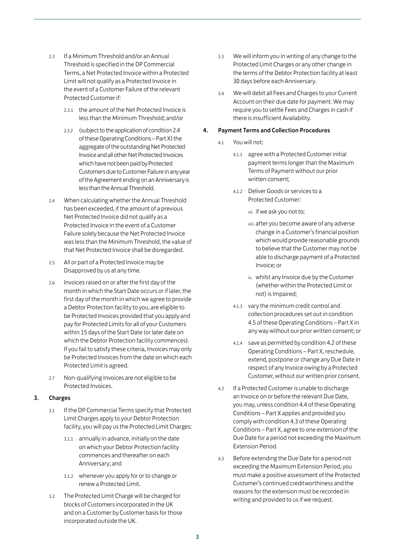- 2.3 If a Minimum Threshold and/or an Annual Threshold is specified in the DP Commercial Terms, a Net Protected Invoice within a Protected Limit will not qualify as a Protected Invoice in the event of a Customer Failure of the relevant Protected Customer if:
	- 2.3.1 the amount of the Net Protected Invoice is less than the Minimum Threshold; and/or
	- 2.3.2 (subject to the application of condition 2.4 of these Operating Conditions – Part X) the aggregate of the outstanding Net Protected Invoice and all other Net Protected Invoices which have not been paid by Protected Customers due to Customer Failure in any year of the Agreement ending on an Anniversary is less than the Annual Threshold.
- 2.4 When calculating whether the Annual Threshold has been exceeded, if the amount of a previous Net Protected Invoice did not qualify as a Protected Invoice in the event of a Customer Failure solely because the Net Protected Invoice was less than the Minimum Threshold, the value of that Net Protected Invoice shall be disregarded.
- 2.5 All or part of a Protected Invoice may be Disapproved by us at any time.
- 2.6 Invoices raised on or after the first day of the month in which the Start Date occurs or if later, the first day of the month in which we agree to provide a Debtor Protection facility to you, are eligible to be Protected Invoices provided that you apply and pay for Protected Limits for all of your Customers within 15 days of the Start Date (or later date on which the Debtor Protection facility commences). If you fail to satisfy these criteria, Invoices may only be Protected Invoices from the date on which each Protected Limit is agreed.
- 2.7 Non-qualifying Invoices are not eligible to be Protected Invoices.

# 3. Charges

- 3.1 If the DP Commercial Terms specify that Protected Limit Charges apply to your Debtor Protection facility, you will pay us the Protected Limit Charges:
	- 3.1.1 annually in advance, initially on the date on which your Debtor Protection facility commences and thereafter on each Anniversary; and
	- 3.1.2 whenever you apply for or to change or renew a Protected Limit.
- 3.2 The Protected Limit Charge will be charged for blocks of Customers incorporated in the UK and on a Customer by Customer basis for those incorporated outside the UK.
- 3.3 We will inform you in writing of any change to the Protected Limit Charges or any other change in the terms of the Debtor Protection facility at least 30 days before each Anniversary.
- 3.4 We will debit all Fees and Charges to your Current Account on their due date for payment. We may require you to settle Fees and Charges in cash if there is insufficient Availability.

# 4. Payment Terms and Collection Procedures

- 4.1 You will not:
	- 4.1.1 agree with a Protected Customer initial payment terms longer than the Maximum Terms of Payment without our prior written consent;
	- 4.1.2 Deliver Goods or services to a Protected Customer:
		- vii. if we ask you not to;
		- viii. after you become aware of any adverse change in a Customer's financial position which would provide reasonable grounds to believe that the Customer may not be able to discharge payment of a Protected Invoice; or
		- ix. whilst any Invoice due by the Customer (whether within the Protected Limit or not) is Impaired;
	- 4.1.3 vary the minimum credit control and collection procedures set out in condition 4.5 of these Operating Conditions – Part X in any way without our prior written consent; or
	- 4.1.4 save as permitted by condition 4.2 of these Operating Conditions – Part X, reschedule, extend, postpone or change any Due Date in respect of any Invoice owing by a Protected Customer, without our written prior consent.
- 4.2 If a Protected Customer is unable to discharge an Invoice on or before the relevant Due Date, you may, unless condition 4.4 of these Operating Conditions – Part X applies and provided you comply with condition 4.3 of these Operating Conditions – Part X, agree to one extension of the Due Date for a period not exceeding the Maximum Extension Period.
- 4.3 Before extending the Due Date for a period not exceeding the Maximum Extension Period, you must make a positive assessment of the Protected Customer's continued creditworthiness and the reasons for the extension must be recorded in writing and provided to us if we request.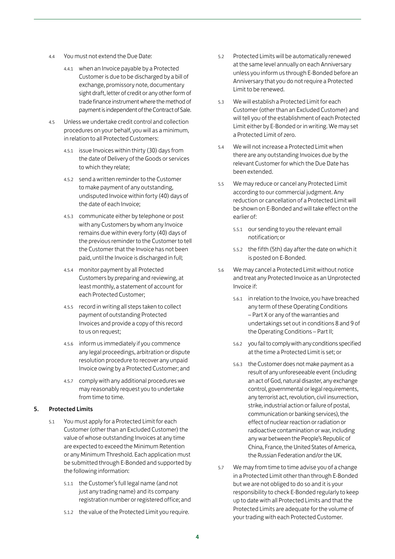- 4.4 You must not extend the Due Date:
	- 4.4.1 when an Invoice payable by a Protected Customer is due to be discharged by a bill of exchange, promissory note, documentary sight draft, letter of credit or any other form of trade finance instrument where the method of payment is independent of the Contract of Sale.
- 4.5 Unless we undertake credit control and collection procedures on your behalf, you will as a minimum, in relation to all Protected Customers:
	- 4.5.1 issue Invoices within thirty (30) days from the date of Delivery of the Goods or services to which they relate;
	- 4.5.2 send a written reminder to the Customer to make payment of any outstanding, undisputed Invoice within forty (40) days of the date of each Invoice;
	- 4.5.3 communicate either by telephone or post with any Customers by whom any Invoice remains due within every forty (40) days of the previous reminder to the Customer to tell the Customer that the Invoice has not been paid, until the Invoice is discharged in full;
	- 4.5.4 monitor payment by all Protected Customers by preparing and reviewing, at least monthly, a statement of account for each Protected Customer;
	- 4.5.5 record in writing all steps taken to collect payment of outstanding Protected Invoices and provide a copy of this record to us on request;
	- 4.5.6 inform us immediately if you commence any legal proceedings, arbitration or dispute resolution procedure to recover any unpaid Invoice owing by a Protected Customer; and
	- 4.5.7 comply with any additional procedures we may reasonably request you to undertake from time to time.

# 5. Protected Limits

- 5.1 You must apply for a Protected Limit for each Customer (other than an Excluded Customer) the value of whose outstanding Invoices at any time are expected to exceed the Minimum Retention or any Minimum Threshold. Each application must be submitted through E-Bonded and supported by the following information:
	- 5.1.1 the Customer's full legal name (and not just any trading name) and its company registration number or registered office; and
	- 5.1.2 the value of the Protected Limit you require.
- 5.2 Protected Limits will be automatically renewed at the same level annually on each Anniversary unless you inform us through E-Bonded before an Anniversary that you do not require a Protected Limit to be renewed.
- 5.3 We will establish a Protected Limit for each Customer (other than an Excluded Customer) and will tell you of the establishment of each Protected Limit either by E-Bonded or in writing. We may set a Protected Limit of zero.
- 5.4 We will not increase a Protected Limit when there are any outstanding Invoices due by the relevant Customer for which the Due Date has been extended.
- 5.5 We may reduce or cancel any Protected Limit according to our commercial judgment. Any reduction or cancellation of a Protected Limit will be shown on E-Bonded and will take effect on the earlier of:
	- 5.5.1 our sending to you the relevant email notification; or
	- 5.5.2 the fifth (5th) day after the date on which it is posted on E-Bonded.
- 5.6 We may cancel a Protected Limit without notice and treat any Protected Invoice as an Unprotected Invoice if:
	- 5.6.1 in relation to the Invoice, you have breached any term of these Operating Conditions – Part X or any of the warranties and undertakings set out in conditions 8 and 9 of the Operating Conditions – Part II;
	- 5.6.2 you fail to comply with any conditions specified at the time a Protected Limit is set; or
	- 5.6.3 the Customer does not make payment as a result of any unforeseeable event (including an act of God, natural disaster, any exchange control, governmental or legal requirements, any terrorist act, revolution, civil insurrection, strike, industrial action or failure of postal, communication or banking services), the effect of nuclear reaction or radiation or radioactive contamination or war, including any war between the People's Republic of China, France, the United States of America, the Russian Federation and/or the UK.
- 5.7 We may from time to time advise you of a change in a Protected Limit other than through E-Bonded but we are not obliged to do so and it is your responsibility to check E-Bonded regularly to keep up to date with all Protected Limits and that the Protected Limits are adequate for the volume of your trading with each Protected Customer.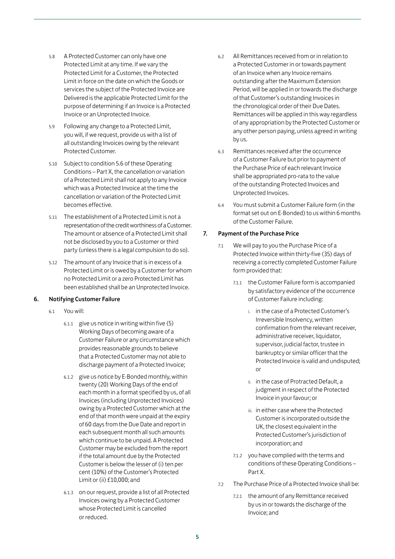- 5.8 A Protected Customer can only have one Protected Limit at any time. If we vary the Protected Limit for a Customer, the Protected Limit in force on the date on which the Goods or services the subject of the Protected Invoice are Delivered is the applicable Protected Limit for the purpose of determining if an Invoice is a Protected Invoice or an Unprotected Invoice.
- 5.9 Following any change to a Protected Limit, you will, if we request, provide us with a list of all outstanding Invoices owing by the relevant Protected Customer.
- 5.10 Subject to condition 5.6 of these Operating Conditions – Part X, the cancellation or variation of a Protected Limit shall not apply to any Invoice which was a Protected Invoice at the time the cancellation or variation of the Protected Limit becomes effective.
- 5.11 The establishment of a Protected Limit is not a representation of the credit worthiness of a Customer. The amount or absence of a Protected Limit shall not be disclosed by you to a Customer or third party (unless there is a legal compulsion to do so).
- 5.12 The amount of any Invoice that is in excess of a Protected Limit or is owed by a Customer for whom no Protected Limit or a zero Protected Limit has been established shall be an Unprotected Invoice.

# 6. Notifying Customer Failure

- 6.1 You will:
	- 6.1.1 give us notice in writing within five (5) Working Days of becoming aware of a Customer Failure or any circumstance which provides reasonable grounds to believe that a Protected Customer may not able to discharge payment of a Protected Invoice;
	- 6.1.2 give us notice by E-Bonded monthly, within twenty (20) Working Days of the end of each month in a format specified by us, of all Invoices (including Unprotected Invoices) owing by a Protected Customer which at the end of that month were unpaid at the expiry of 60 days from the Due Date and report in each subsequent month all such amounts which continue to be unpaid. A Protected Customer may be excluded from the report if the total amount due by the Protected Customer is below the lesser of (i) ten per cent (10%) of the Customer's Protected Limit or (ii) £10,000; and
	- 6.1.3 on our request, provide a list of all Protected Invoices owing by a Protected Customer whose Protected Limit is cancelled or reduced.
- 6.2 All Remittances received from or in relation to a Protected Customer in or towards payment of an Invoice when any Invoice remains outstanding after the Maximum Extension Period, will be applied in or towards the discharge of that Customer's outstanding Invoices in the chronological order of their Due Dates. Remittances will be applied in this way regardless of any appropriation by the Protected Customer or any other person paying, unless agreed in writing by us.
- 6.3 Remittances received after the occurrence of a Customer Failure but prior to payment of the Purchase Price of each relevant Invoice shall be appropriated pro-rata to the value of the outstanding Protected Invoices and Unprotected Invoices.
- 6.4 You must submit a Customer Failure form (in the format set out on E-Bonded) to us within 6 months of the Customer Failure.

## 7. Payment of the Purchase Price

- 7.1 We will pay to you the Purchase Price of a Protected Invoice within thirty-five (35) days of receiving a correctly completed Customer Failure form provided that:
	- 7.1.1 the Customer Failure form is accompanied by satisfactory evidence of the occurrence of Customer Failure including:
		- i. in the case of a Protected Customer's Irreversible Insolvency, written confirmation from the relevant receiver, administrative receiver, liquidator, supervisor, judicial factor, trustee in bankruptcy or similar officer that the Protected Invoice is valid and undisputed; or
		- ii. in the case of Protracted Default, a judgment in respect of the Protected Invoice in your favour; or
		- iii. in either case where the Protected Customer is incorporated outside the UK, the closest equivalent in the Protected Customer's jurisdiction of incorporation; and
	- 7.1.2 you have complied with the terms and conditions of these Operating Conditions – Part X.
- 7.2 The Purchase Price of a Protected Invoice shall be:
	- 7.2.1 the amount of any Remittance received by us in or towards the discharge of the Invoice; and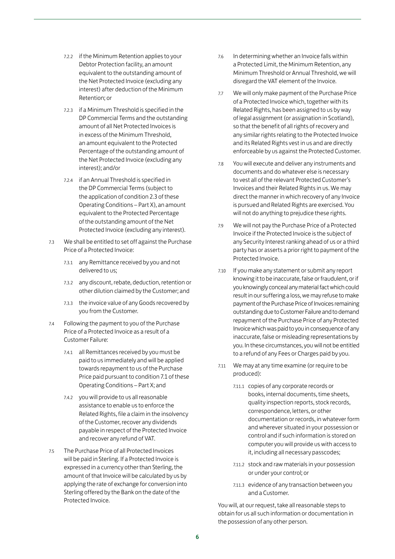- 7.2.2 if the Minimum Retention applies to your Debtor Protection facility, an amount equivalent to the outstanding amount of the Net Protected Invoice (excluding any interest) after deduction of the Minimum Retention; or
- 7.2.3 if a Minimum Threshold is specified in the DP Commercial Terms and the outstanding amount of all Net Protected Invoices is in excess of the Minimum Threshold, an amount equivalent to the Protected Percentage of the outstanding amount of the Net Protected Invoice (excluding any interest); and/or
- 7.2.4 if an Annual Threshold is specified in the DP Commercial Terms (subject to the application of condition 2.3 of these Operating Conditions – Part X), an amount equivalent to the Protected Percentage of the outstanding amount of the Net Protected Invoice (excluding any interest).
- 7.3 We shall be entitled to set off against the Purchase Price of a Protected Invoice:
	- 7.3.1 any Remittance received by you and not delivered to us;
	- 7.3.2 any discount, rebate, deduction, retention or other dilution claimed by the Customer; and
	- 7.3.3 the invoice value of any Goods recovered by you from the Customer.
- 7.4 Following the payment to you of the Purchase Price of a Protected Invoice as a result of a Customer Failure:
	- 7.4.1 all Remittances received by you must be paid to us immediately and will be applied towards repayment to us of the Purchase Price paid pursuant to condition 7.1 of these Operating Conditions – Part X; and
	- 7.4.2 you will provide to us all reasonable assistance to enable us to enforce the Related Rights, file a claim in the insolvency of the Customer, recover any dividends payable in respect of the Protected Invoice and recover any refund of VAT.
- 7.5 The Purchase Price of all Protected Invoices will be paid in Sterling. If a Protected Invoice is expressed in a currency other than Sterling, the amount of that Invoice will be calculated by us by applying the rate of exchange for conversion into Sterling offered by the Bank on the date of the Protected Invoice.
- 7.6 In determining whether an Invoice falls within a Protected Limit, the Minimum Retention, any Minimum Threshold or Annual Threshold, we will disregard the VAT element of the Invoice.
- 7.7 We will only make payment of the Purchase Price of a Protected Invoice which, together with its Related Rights, has been assigned to us by way of legal assignment (or assignation in Scotland), so that the benefit of all rights of recovery and any similar rights relating to the Protected Invoice and its Related Rights vest in us and are directly enforceable by us against the Protected Customer.
- 7.8 You will execute and deliver any instruments and documents and do whatever else is necessary to vest all of the relevant Protected Customer's Invoices and their Related Rights in us. We may direct the manner in which recovery of any Invoice is pursued and Related Rights are exercised. You will not do anything to prejudice these rights.
- 7.9 We will not pay the Purchase Price of a Protected Invoice if the Protected Invoice is the subject of any Security Interest ranking ahead of us or a third party has or asserts a prior right to payment of the Protected Invoice.
- 7.10 If you make any statement or submit any report knowing it to be inaccurate, false or fraudulent, or if you knowingly conceal any material fact which could result in our suffering a loss, we may refuse to make payment of the Purchase Price of Invoices remaining outstanding due to Customer Failure and to demand repayment of the Purchase Price of any Protected Invoice which was paid to you in consequence of any inaccurate, false or misleading representations by you. In these circumstances, you will not be entitled to a refund of any Fees or Charges paid by you.
- 7.11 We may at any time examine (or require to be produced):
	- 7.11.1 copies of any corporate records or books, internal documents, time sheets, quality inspection reports, stock records, correspondence, letters, or other documentation or records, in whatever form and wherever situated in your possession or control and if such information is stored on computer you will provide us with access to it, including all necessary passcodes;
	- 7.11.2 stock and raw materials in your possession or under your control; or
	- 7.11.3 evidence of any transaction between you and a Customer.

You will, at our request, take all reasonable steps to obtain for us all such information or documentation in the possession of any other person.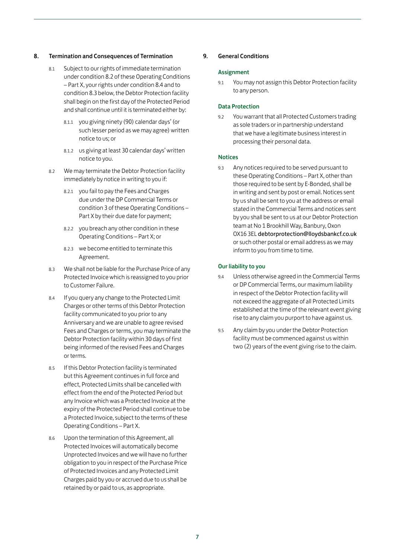### 8. Termination and Consequences of Termination

- 8.1 Subject to our rights of immediate termination under condition 8.2 of these Operating Conditions – Part X, your rights under condition 8.4 and to condition 8.3 below, the Debtor Protection facility shall begin on the first day of the Protected Period and shall continue until it is terminated either by:
	- 8.1.1 you giving ninety (90) calendar days' (or such lesser period as we may agree) written notice to us; or
	- 8.1.2 us giving at least 30 calendar days' written notice to you.
- 8.2 We may terminate the Debtor Protection facility immediately by notice in writing to you if:
	- 8.2.1 you fail to pay the Fees and Charges due under the DP Commercial Terms or condition 3 of these Operating Conditions – Part X by their due date for payment;
	- 8.2.2 you breach any other condition in these Operating Conditions – Part X; or
	- 8.2.3 we become entitled to terminate this Agreement.
- 8.3 We shall not be liable for the Purchase Price of any Protected Invoice which is reassigned to you prior to Customer Failure.
- 8.4 If you query any change to the Protected Limit Charges or other terms of this Debtor Protection facility communicated to you prior to any Anniversary and we are unable to agree revised Fees and Charges or terms, you may terminate the Debtor Protection facility within 30 days of first being informed of the revised Fees and Charges or terms.
- 8.5 If this Debtor Protection facility is terminated but this Agreement continues in full force and effect, Protected Limits shall be cancelled with effect from the end of the Protected Period but any Invoice which was a Protected Invoice at the expiry of the Protected Period shall continue to be a Protected Invoice, subject to the terms of these Operating Conditions – Part X.
- 8.6 Upon the termination of this Agreement, all Protected Invoices will automatically become Unprotected Invoices and we will have no further obligation to you in respect of the Purchase Price of Protected Invoices and any Protected Limit Charges paid by you or accrued due to us shall be retained by or paid to us, as appropriate.

### 9. General Conditions

#### **Assignment**

9.1 You may not assign this Debtor Protection facility to any person.

#### Data Protection

9.2 You warrant that all Protected Customers trading as sole traders or in partnership understand that we have a legitimate business interest in processing their personal data.

#### Notices

9.3 Any notices required to be served pursuant to these Operating Conditions – Part X, other than those required to be sent by E-Bonded, shall be in writing and sent by post or email. Notices sent by us shall be sent to you at the address or email stated in the Commercial Terms and notices sent by you shall be sent to us at our Debtor Protection team at No 1 Brookhill Way, Banbury, Oxon OX16 3EL debtorprotection@lloydsbankcf.co.uk or such other postal or email address as we may inform to you from time to time.

#### Our liability to you

- 9.4 Unless otherwise agreed in the Commercial Terms or DP Commercial Terms, our maximum liability in respect of the Debtor Protection facility will not exceed the aggregate of all Protected Limits established at the time of the relevant event giving rise to any claim you purport to have against us.
- 9.5 Any claim by you under the Debtor Protection facility must be commenced against us within two (2) years of the event giving rise to the claim.